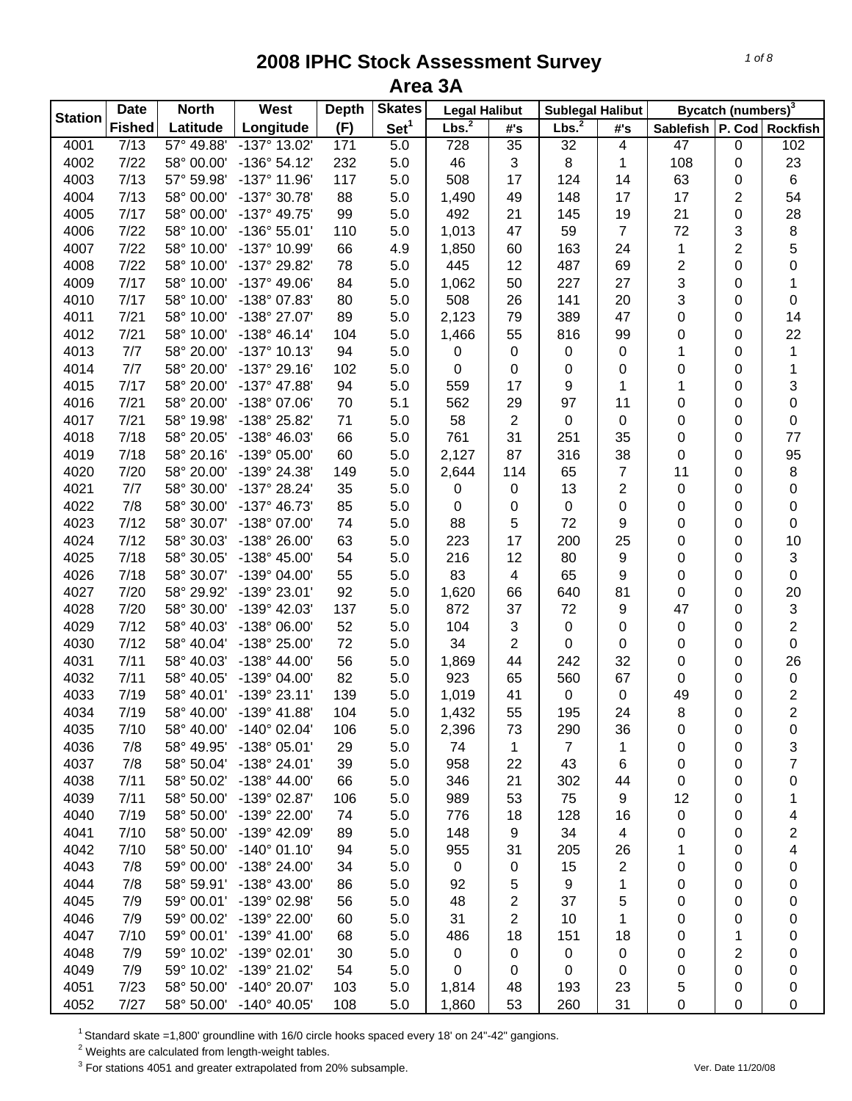| <b>Station</b> | <b>Date</b>   | <b>North</b> | West                    | <b>Depth</b> | <b>Skates</b>    | <b>Legal Halibut</b> |                | <b>Sublegal Halibut</b> |                |                               | Bycatch (numbers) <sup>3</sup> |                         |
|----------------|---------------|--------------|-------------------------|--------------|------------------|----------------------|----------------|-------------------------|----------------|-------------------------------|--------------------------------|-------------------------|
|                | <b>Fished</b> | Latitude     | Longitude               | (F)          | Set <sup>1</sup> | Lbs. <sup>2</sup>    | #'s            | Lbs. <sup>2</sup>       | #'s            | Sablefish   P. Cod   Rockfish |                                |                         |
| 4001           | 7/13          | 57° 49.88'   | -137° 13.02'            | 171          | 5.0              | 728                  | 35             | 32                      | 4              | 47                            | 0                              | 102                     |
| 4002           | $7/22$        | 58° 00.00'   | $-136°54.12'$           | 232          | 5.0              | 46                   | 3              | 8                       | 1              | 108                           | 0                              | 23                      |
| 4003           | 7/13          | 57° 59.98'   | $-137^{\circ}$ 11.96'   | 117          | 5.0              | 508                  | 17             | 124                     | 14             | 63                            | 0                              | 6                       |
| 4004           | 7/13          | 58° 00.00'   | -137° 30.78'            | 88           | 5.0              | 1,490                | 49             | 148                     | 17             | 17                            | 2                              | 54                      |
| 4005           | 7/17          | 58° 00.00'   | -137° 49.75'            | 99           | 5.0              | 492                  | 21             | 145                     | 19             | 21                            | 0                              | 28                      |
| 4006           | $7/22$        | 58° 10.00'   | -136° 55.01'            | 110          | 5.0              | 1,013                | 47             | 59                      | $\overline{7}$ | 72                            | 3                              | 8                       |
| 4007           | 7/22          | 58° 10.00'   | -137° 10.99'            | 66           | 4.9              | 1,850                | 60             | 163                     | 24             | 1                             | 2                              | 5                       |
| 4008           | 7/22          | 58° 10.00'   | -137° 29.82'            | 78           | 5.0              | 445                  | 12             | 487                     | 69             | $\overline{c}$                | 0                              | 0                       |
| 4009           | 7/17          | 58° 10.00'   | $-137^{\circ}$ 49.06'   | 84           | 5.0              | 1,062                | 50             | 227                     | 27             | 3                             | 0                              | 1                       |
| 4010           | 7/17          | 58° 10.00'   | -138° 07.83'            | 80           | 5.0              | 508                  | 26             | 141                     | 20             | 3                             | 0                              | 0                       |
| 4011           | 7/21          | 58° 10.00'   | -138° 27.07'            | 89           | 5.0              | 2,123                | 79             | 389                     | 47             | 0                             | 0                              | 14                      |
| 4012           | 7/21          | 58° 10.00'   | $-138° 46.14'$          | 104          | 5.0              | 1,466                | 55             | 816                     | 99             | 0                             | 0                              | 22                      |
| 4013           | 7/7           | 58° 20.00'   | $-137°$ 10.13'          | 94           | 5.0              | 0                    | 0              | 0                       | 0              | 1                             | 0                              | 1                       |
| 4014           | 7/7           | 58° 20.00'   | $-137°$ 29.16'          | 102          | 5.0              | $\boldsymbol{0}$     | 0              | 0                       | 0              | 0                             | 0                              | 1                       |
| 4015           | 7/17          | 58° 20.00'   | -137° 47.88'            | 94           | 5.0              | 559                  | 17             | 9                       | 1              | 1                             | 0                              | 3                       |
| 4016           | 7/21          | 58° 20.00'   | -138° 07.06'            | 70           | 5.1              | 562                  | 29             | 97                      | 11             | 0                             | 0                              | 0                       |
| 4017           | 7/21          | 58° 19.98'   | -138° 25.82'            | 71           | 5.0              | 58                   | $\overline{2}$ | 0                       | $\pmb{0}$      | 0                             | 0                              | 0                       |
| 4018           | 7/18          | 58° 20.05'   | -138° 46.03'            | 66           | 5.0              | 761                  | 31             | 251                     | 35             | 0                             | 0                              | 77                      |
| 4019           | 7/18          | 58° 20.16'   | -139° 05.00'            | 60           | 5.0              | 2,127                | 87             | 316                     | 38             | 0                             | 0                              | 95                      |
| 4020           | 7/20          | 58° 20.00'   | -139° 24.38'            | 149          | 5.0              | 2,644                | 114            | 65                      | $\overline{7}$ | 11                            | 0                              | 8                       |
| 4021           | 7/7           | 58° 30.00'   | -137° 28.24'            | 35           | 5.0              | 0                    | 0              | 13                      | $\overline{2}$ | $\pmb{0}$                     | 0                              | 0                       |
| 4022           | 7/8           | 58° 30.00'   | -137° 46.73'            | 85           | 5.0              | $\boldsymbol{0}$     | 0              | 0                       | 0              | 0                             | 0                              | 0                       |
| 4023           | 7/12          | 58° 30.07'   | -138° 07.00'            | 74           | 5.0              | 88                   | 5              | 72                      | 9              | 0                             | 0                              | 0                       |
| 4024           | 7/12          | 58° 30.03'   | -138° 26.00'            | 63           | 5.0              | 223                  | 17             | 200                     | 25             | 0                             | 0                              | 10                      |
| 4025           | 7/18          | 58° 30.05'   | -138° 45.00'            | 54           | 5.0              | 216                  | 12             | 80                      | 9              | $\pmb{0}$                     | 0                              | 3                       |
| 4026           | 7/18          | 58° 30.07'   | -139° 04.00'            | 55           | 5.0              | 83                   | $\overline{4}$ | 65                      | 9              | $\pmb{0}$                     | 0                              | 0                       |
| 4027           | 7/20          | 58° 29.92'   | -139° 23.01'            | 92           | 5.0              | 1,620                | 66             | 640                     | 81             | $\pmb{0}$                     | 0                              | 20                      |
| 4028           | 7/20          | 58° 30.00'   | -139° 42.03'            | 137          | 5.0              | 872                  | 37             | 72                      | 9              | 47                            | 0                              | 3                       |
| 4029           | 7/12          | 58° 40.03'   | -138° 06.00'            | 52           | 5.0              | 104                  | 3              | 0                       | 0              | $\pmb{0}$                     | 0                              | $\overline{2}$          |
| 4030           | 7/12          | 58° 40.04'   | -138° 25.00'            | 72           | 5.0              | 34                   | $\overline{2}$ | 0                       | 0              | 0                             | 0                              | 0                       |
| 4031           | 7/11          | 58° 40.03'   | $-138^{\circ}$ 44.00'   | 56           | 5.0              | 1,869                | 44             | 242                     | 32             | 0                             | 0                              | 26                      |
| 4032           | 7/11          | 58° 40.05'   | -139° 04.00'            | 82           | 5.0              | 923                  | 65             | 560                     | 67             | 0                             | 0                              | $\pmb{0}$               |
| 4033           | 7/19          | 58° 40.01'   | $-139°$ 23.11'          | 139          | 5.0              | 1,019                | 41             | 0                       | 0              | 49                            | 0                              | $\overline{\mathbf{c}}$ |
| 4034           | 7/19          | 58° 40.00'   | $-139°$ 41.88'          | 104          | 5.0              | 1,432                | 55             | 195                     | 24             | 8                             | 0                              | $\overline{2}$          |
| 4035           | 7/10          | 58° 40.00'   | $-140^{\circ}$ 02.04'   | 106          | 5.0              | 2,396                | 73             | 290                     | 36             | 0                             | 0                              | 0                       |
| 4036           | 7/8           | 58° 49.95'   | $-138^{\circ}$ 05.01    | 29           | 5.0              | 74                   | 1              | $\overline{7}$          | 1              | 0                             | 0                              | 3                       |
| 4037           | 7/8           | 58° 50.04'   | $-138^{\circ} 24.01'$   | 39           | 5.0              | 958                  | 22             | 43                      | 6              | 0                             | 0                              | 7                       |
| 4038           | 7/11          | 58° 50.02'   | $-138^{\circ}$ 44.00'   | 66           | 5.0              | 346                  | 21             | 302                     | 44             | 0                             | 0                              | 0                       |
| 4039           | 7/11          | 58° 50.00'   | -139° 02.87'            | 106          | 5.0              | 989                  | 53             | 75                      | 9              | 12                            | 0                              | 1                       |
| 4040           | 7/19          | 58° 50.00'   | -139° 22.00'            | 74           | 5.0              | 776                  | 18             | 128                     | 16             | 0                             | 0                              | 4                       |
| 4041           | 7/10          | 58° 50.00'   | -139° 42.09'            | 89           | 5.0              | 148                  | 9              | 34                      | $\overline{4}$ | 0                             | 0                              | 2                       |
| 4042           | 7/10          | 58° 50.00'   | $-140^{\circ}$ 01.10    | 94           | 5.0              | 955                  | 31             | 205                     | 26             | 1                             | 0                              | 4                       |
| 4043           | 7/8           | 59° 00.00'   | -138° 24.00'            | 34           | 5.0              | $\mathbf 0$          | 0              | 15                      | $\overline{2}$ | 0                             | 0                              | 0                       |
| 4044           | 7/8           | 58° 59.91'   | $-138^{\circ}$ 43.00'   | 86           | 5.0              | 92                   | 5              | 9                       | 1              | 0                             | 0                              | 0                       |
| 4045           | 7/9           | 59° 00.01'   | -139° 02.98'            | 56           | 5.0              | 48                   | 2              | 37                      | 5              | 0                             | 0                              | 0                       |
| 4046           | 7/9           | 59° 00.02'   | -139° 22.00'            | 60           | 5.0              | 31                   | 2              | 10                      | 1              | 0                             | 0                              | 0                       |
| 4047           | 7/10          |              | 59° 00.01' -139° 41.00' | 68           | 5.0              | 486                  | 18             | 151                     | 18             | 0                             | 1                              | 0                       |
| 4048           | 7/9           | 59° 10.02'   | $-139^{\circ}$ 02.01'   | 30           | 5.0              | $\mathbf 0$          | 0              | 0                       | 0              | 0                             | 2                              | 0                       |
| 4049           | 7/9           | 59° 10.02'   | -139° 21.02'            | 54           | 5.0              | 0                    | 0              | 0                       | 0              | 0                             | 0                              | 0                       |
| 4051           | 7/23          | 58° 50.00'   | -140° 20.07'            | 103          | 5.0              | 1,814                | 48             | 193                     | 23             | 5                             | 0                              | 0                       |
| 4052           | 7/27          | 58° 50.00'   | $-140^{\circ}$ 40.05'   | 108          | 5.0              | 1,860                | 53             | 260                     | 31             | 0                             | 0                              | 0                       |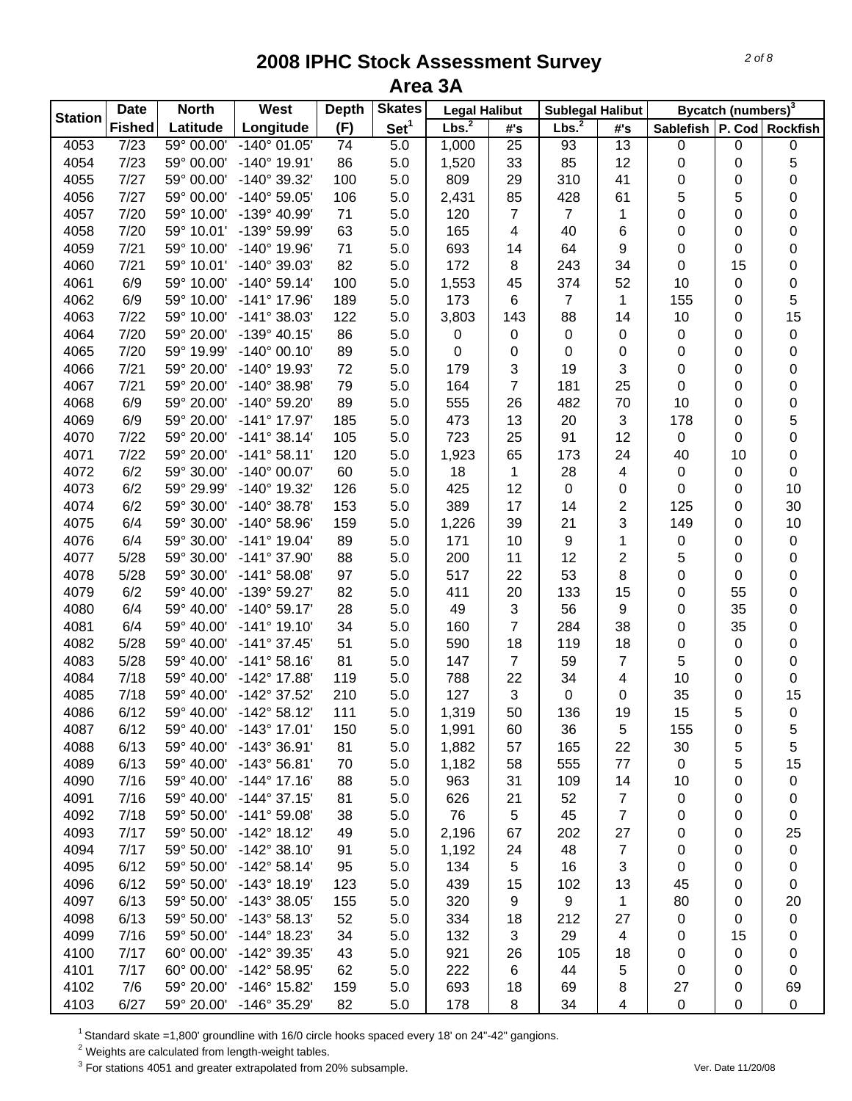| <b>Station</b> | <b>Date</b>   | <b>North</b>       | West                  | <b>Depth</b> | <b>Skates</b>    | <b>Legal Halibut</b> |                | <b>Sublegal Halibut</b> |                         |                               | Bycatch (numbers) <sup>3</sup> |             |
|----------------|---------------|--------------------|-----------------------|--------------|------------------|----------------------|----------------|-------------------------|-------------------------|-------------------------------|--------------------------------|-------------|
|                | <b>Fished</b> | Latitude           | Longitude             | (F)          | Set <sup>1</sup> | Lbs. <sup>2</sup>    | #'s            | Lbs. <sup>2</sup>       | #'s                     | Sablefish   P. Cod   Rockfish |                                |             |
| 4053           | 7/23          | $59^{\circ}$ 00.00 | $-140^{\circ}$ 01.05' | 74           | 5.0              | 1,000                | 25             | 93                      | 13                      | 0                             | 0                              | $\pmb{0}$   |
| 4054           | 7/23          | 59° 00.00'         | $-140^{\circ}$ 19.91' | 86           | 5.0              | 1,520                | 33             | 85                      | 12                      | 0                             | 0                              | 5           |
| 4055           | 7/27          | 59° 00.00'         | -140° 39.32'          | 100          | 5.0              | 809                  | 29             | 310                     | 41                      | 0                             | 0                              | 0           |
| 4056           | 7/27          | 59° 00.00'         | $-140^{\circ}$ 59.05' | 106          | 5.0              | 2,431                | 85             | 428                     | 61                      | 5                             | 5                              | 0           |
| 4057           | 7/20          | 59° 10.00'         | -139° 40.99'          | 71           | 5.0              | 120                  | $\overline{7}$ | $\overline{7}$          | 1                       | 0                             | 0                              | 0           |
| 4058           | 7/20          | 59° 10.01'         | -139° 59.99'          | 63           | 5.0              | 165                  | 4              | 40                      | 6                       | 0                             | 0                              | 0           |
| 4059           | 7/21          | 59° 10.00'         | $-140^{\circ}$ 19.96' | 71           | 5.0              | 693                  | 14             | 64                      | 9                       | 0                             | 0                              | 0           |
| 4060           | 7/21          | 59° 10.01'         | $-140^{\circ}$ 39.03' | 82           | 5.0              | 172                  | 8              | 243                     | 34                      | $\pmb{0}$                     | 15                             | $\pmb{0}$   |
| 4061           | 6/9           | 59° 10.00'         | $-140^{\circ} 59.14'$ | 100          | 5.0              | 1,553                | 45             | 374                     | 52                      | 10                            | 0                              | 0           |
| 4062           | 6/9           | 59° 10.00'         | $-141^{\circ}$ 17.96' | 189          | 5.0              | 173                  | 6              | 7                       | 1                       | 155                           | 0                              | 5           |
| 4063           | 7/22          | 59° 10.00'         | $-141°38.03'$         | 122          | 5.0              | 3,803                | 143            | 88                      | 14                      | 10                            | 0                              | 15          |
| 4064           | 7/20          | 59° 20.00'         | $-139°$ 40.15'        | 86           | 5.0              | 0                    | $\mathbf 0$    | 0                       | 0                       | 0                             | 0                              | $\pmb{0}$   |
| 4065           | 7/20          | 59° 19.99'         | $-140^{\circ}$ 00.10  | 89           | 5.0              | 0                    | 0              | 0                       | 0                       | 0                             | 0                              | 0           |
| 4066           | 7/21          | 59° 20.00'         | -140° 19.93'          | 72           | 5.0              | 179                  | 3              | 19                      | 3                       | 0                             | 0                              | 0           |
| 4067           | 7/21          | 59° 20.00'         | $-140^{\circ}$ 38.98' | 79           | 5.0              | 164                  | $\overline{7}$ | 181                     | 25                      | 0                             | 0                              | 0           |
| 4068           | 6/9           | 59° 20.00'         | -140° 59.20'          | 89           | 5.0              | 555                  | 26             | 482                     | 70                      | 10                            | 0                              | 0           |
| 4069           | 6/9           | 59° 20.00'         | $-141^{\circ}$ 17.97' | 185          | 5.0              | 473                  | 13             | 20                      | $\mathbf{3}$            | 178                           | 0                              | 5           |
| 4070           | 7/22          | 59° 20.00'         | $-141°38.14'$         | 105          | 5.0              | 723                  | 25             | 91                      | 12                      | $\pmb{0}$                     | 0                              | 0           |
| 4071           | 7/22          | 59° 20.00'         | $-141°58.11'$         | 120          | 5.0              | 1,923                | 65             | 173                     | 24                      | 40                            | 10                             | 0           |
| 4072           | 6/2           | 59° 30.00'         | $-140^{\circ}$ 00.07' | 60           | 5.0              | 18                   | $\mathbf{1}$   | 28                      | $\overline{\mathbf{4}}$ | 0                             | 0                              | $\pmb{0}$   |
| 4073           | 6/2           | 59° 29.99'         | -140° 19.32'          | 126          | 5.0              | 425                  | 12             | 0                       | 0                       | 0                             | 0                              | 10          |
| 4074           | 6/2           | 59° 30.00'         | $-140^{\circ}$ 38.78' | 153          | 5.0              | 389                  | 17             | 14                      | $\overline{c}$          | 125                           | 0                              | 30          |
| 4075           | 6/4           | 59° 30.00'         | $-140^{\circ}$ 58.96' | 159          | 5.0              | 1,226                | 39             | 21                      | 3                       | 149                           | 0                              | 10          |
| 4076           | 6/4           | 59° 30.00'         | $-141^{\circ}$ 19.04' | 89           | 5.0              | 171                  | 10             | 9                       | 1                       | $\pmb{0}$                     | 0                              | $\pmb{0}$   |
| 4077           | 5/28          | 59° 30.00'         | $-141°37.90'$         | 88           | 5.0              | 200                  | 11             | 12                      | $\overline{c}$          | 5                             | 0                              | $\pmb{0}$   |
| 4078           | 5/28          | 59° 30.00'         | $-141°58.08'$         | 97           | 5.0              | 517                  | 22             | 53                      | 8                       | 0                             | 0                              | 0           |
| 4079           | 6/2           | 59° 40.00'         | -139° 59.27'          | 82           | 5.0              | 411                  | 20             | 133                     | 15                      | 0                             | 55                             | 0           |
| 4080           | 6/4           | 59° 40.00'         | $-140^{\circ} 59.17'$ | 28           | 5.0              | 49                   | 3              | 56                      | 9                       | 0                             | 35                             | 0           |
| 4081           | 6/4           | 59° 40.00'         | $-141°$ 19.10         | 34           | 5.0              | 160                  | $\overline{7}$ | 284                     | 38                      | 0                             | 35                             | 0           |
| 4082           | 5/28          | 59° 40.00'         | $-141°37.45'$         | 51           | 5.0              | 590                  | 18             | 119                     | 18                      | 0                             | 0                              | 0           |
| 4083           | 5/28          | 59° 40.00'         | $-141°58.16'$         | 81           | 5.0              | 147                  | $\overline{7}$ | 59                      | $\overline{7}$          | 5                             | 0                              | 0           |
| 4084           | 7/18          | 59° 40.00'         | -142° 17.88'          | 119          | 5.0              | 788                  | 22             | 34                      | 4                       | 10                            | 0                              | $\pmb{0}$   |
| 4085           | 7/18          | 59° 40.00'         | -142° 37.52'          | 210          | 5.0              | 127                  | 3              | 0                       | 0                       | 35                            | 0                              | 15          |
| 4086           | 6/12          | 59° 40.00'         | $-142^{\circ}58.12'$  | 111          | 5.0              | 1,319                | 50             | 136                     | 19                      | 15                            | 5                              | $\pmb{0}$   |
| 4087           | 6/12          | 59° 40.00'         | $-143^{\circ}$ 17.01  | 150          | 5.0              | 1,991                | 60             | 36                      | 5                       | 155                           | 0                              | 5           |
| 4088           | 6/13          | 59° 40.00'         | $-143°36.91'$         | 81           | 5.0              | 1,882                | 57             | 165                     | 22                      | 30                            | 5                              | 5           |
| 4089           | 6/13          | 59° 40.00'         | $-143^{\circ} 56.81'$ | 70           | 5.0              | 1,182                | 58             | 555                     | 77                      | 0                             | 5                              | 15          |
| 4090           | 7/16          | 59° 40.00'         | $-144^{\circ}$ 17.16' | 88           | 5.0              | 963                  | 31             | 109                     | 14                      | 10                            | 0                              | 0           |
| 4091           | 7/16          | 59° 40.00'         | $-144^{\circ}$ 37.15' | 81           | 5.0              | 626                  | 21             | 52                      | $\overline{7}$          | 0                             | 0                              | 0           |
| 4092           | 7/18          | 59° 50.00'         | $-141^{\circ} 59.08'$ | 38           | 5.0              | 76                   | 5              | 45                      | $\overline{7}$          | 0                             | 0                              | 0           |
| 4093           | 7/17          | 59° 50.00'         | $-142^{\circ}$ 18.12' | 49           | 5.0              | 2,196                | 67             | 202                     | 27                      | 0                             | 0                              | 25          |
| 4094           | 7/17          | 59° 50.00'         | $-142^{\circ}$ 38.10  | 91           | 5.0              | 1,192                | 24             | 48                      | $\overline{7}$          | 0                             | 0                              | 0           |
| 4095           | 6/12          | 59° 50.00'         | $-142^{\circ}58.14'$  | 95           | 5.0              | 134                  | 5              | 16                      | 3                       | 0                             | 0                              | 0           |
| 4096           | 6/12          | 59° 50.00'         | $-143°$ 18.19         | 123          | 5.0              | 439                  | 15             | 102                     | 13                      | 45                            | 0                              | 0           |
| 4097           | 6/13          | 59° 50.00'         | $-143^{\circ}$ 38.05' | 155          | 5.0              | 320                  | 9              | 9                       | 1                       | 80                            | 0                              | 20          |
| 4098           | 6/13          | 59° 50.00'         | $-143°58.13'$         | 52           | 5.0              | 334                  | 18             | 212                     | 27                      | 0                             | 0                              | 0           |
| 4099           | 7/16          | 59° 50.00'         | $-144^{\circ}$ 18.23' | 34           | 5.0              | 132                  | 3              | 29                      | 4                       | 0                             | 15                             | 0           |
| 4100           | 7/17          | 60° 00.00'         | -142° 39.35'          | 43           | 5.0              | 921                  | 26             | 105                     | 18                      | 0                             | 0                              | 0           |
| 4101           | 7/17          | 60° 00.00'         | -142° 58.95'          | 62           | 5.0              | 222                  | 6              | 44                      | 5                       | 0                             | 0                              | 0           |
| 4102           | 7/6           | 59° 20.00'         | $-146^{\circ}$ 15.82' | 159          | 5.0              | 693                  | 18             | 69                      | 8                       | 27                            | 0                              | 69          |
| 4103           | 6/27          | 59° 20.00'         | $-146^{\circ}$ 35.29' | 82           | 5.0              | 178                  | 8              | 34                      | 4                       | $\pmb{0}$                     | 0                              | $\mathbf 0$ |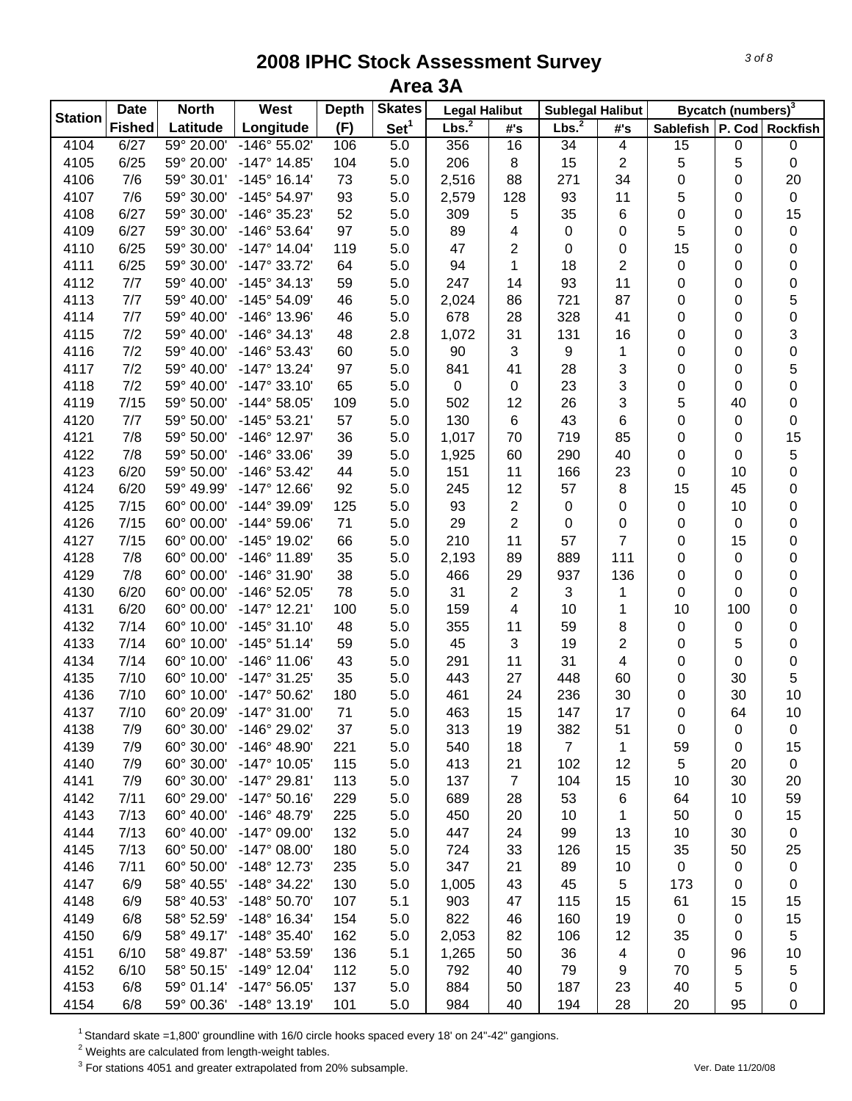|                | <b>Date</b>   | <b>North</b> | West                  | <b>Depth</b> | <b>Skates</b>    | <b>Legal Halibut</b> |                         | <b>Sublegal Halibut</b> |                         |             | Bycatch (numbers) <sup>3</sup> |                 |
|----------------|---------------|--------------|-----------------------|--------------|------------------|----------------------|-------------------------|-------------------------|-------------------------|-------------|--------------------------------|-----------------|
| <b>Station</b> | <b>Fished</b> | Latitude     | Longitude             | (F)          | Set <sup>1</sup> | Lbs. <sup>2</sup>    | #'s                     | Lbs. <sup>2</sup>       | #'s                     | Sablefish   |                                | P. Cod Rockfish |
| 4104           | 6/27          | 59° 20.00'   | $-146^{\circ} 55.02'$ | 106          | 5.0              | 356                  | 16                      | 34                      | $\overline{\mathbf{4}}$ | 15          | 0                              | 0               |
| 4105           | 6/25          | 59° 20.00'   | $-147^{\circ}$ 14.85' | 104          | 5.0              | 206                  | $\bf 8$                 | 15                      | $\sqrt{2}$              | 5           | 5                              | $\pmb{0}$       |
| 4106           | 7/6           | 59° 30.01'   | $-145^{\circ}$ 16.14' | 73           | 5.0              | 2,516                | 88                      | 271                     | 34                      | 0           | 0                              | 20              |
| 4107           | 7/6           | 59° 30.00'   | $-145^{\circ} 54.97'$ | 93           | 5.0              | 2,579                | 128                     | 93                      | 11                      | 5           | 0                              | $\pmb{0}$       |
| 4108           | 6/27          | 59° 30.00'   | -146° 35.23'          | 52           | 5.0              | 309                  | 5                       | 35                      | 6                       | 0           | 0                              | 15              |
| 4109           | 6/27          | 59° 30.00'   | -146° 53.64'          | 97           | 5.0              | 89                   | $\overline{\mathbf{4}}$ | $\,0\,$                 | 0                       | 5           | 0                              | $\pmb{0}$       |
| 4110           | 6/25          | 59° 30.00'   | $-147°$ 14.04'        | 119          | 5.0              | 47                   | $\overline{2}$          | 0                       | 0                       | 15          | 0                              | $\pmb{0}$       |
| 4111           | 6/25          | 59° 30.00'   | $-147°33.72'$         | 64           | 5.0              | 94                   | 1                       | 18                      | $\overline{c}$          | 0           | 0                              | 0               |
| 4112           | 7/7           | 59° 40.00'   | $-145°34.13'$         | 59           | 5.0              | 247                  | 14                      | 93                      | 11                      | 0           | 0                              | 0               |
| 4113           | 7/7           | 59° 40.00'   | $-145^{\circ} 54.09'$ | 46           | 5.0              | 2,024                | 86                      | 721                     | 87                      | 0           | 0                              | 5               |
| 4114           | 7/7           | 59° 40.00'   | $-146^\circ$ 13.96'   | 46           | 5.0              | 678                  | 28                      | 328                     | 41                      | 0           | 0                              | 0               |
| 4115           | 7/2           | 59° 40.00'   | $-146°34.13'$         | 48           | 2.8              | 1,072                | 31                      | 131                     | 16                      | 0           | 0                              | 3               |
| 4116           | 7/2           | 59° 40.00'   | $-146°53.43'$         | 60           | 5.0              | 90                   | 3                       | 9                       | 1                       | 0           | 0                              | 0               |
| 4117           | 7/2           | 59° 40.00'   | $-147^{\circ}$ 13.24' | 97           | 5.0              | 841                  | 41                      | 28                      | 3                       | 0           | 0                              | 5               |
| 4118           | 7/2           | 59° 40.00'   | $-147°33.10'$         | 65           | 5.0              | $\pmb{0}$            | $\pmb{0}$               | 23                      | 3                       | 0           | 0                              | 0               |
| 4119           | 7/15          | 59° 50.00'   | $-144^{\circ} 58.05'$ | 109          | 5.0              | 502                  | 12                      | 26                      | $\mathbf{3}$            | 5           | 40                             | 0               |
| 4120           | 7/7           | 59° 50.00'   | $-145^{\circ} 53.21'$ | 57           | 5.0              | 130                  | $\,6$                   | 43                      | 6                       | 0           | 0                              | 0               |
| 4121           | 7/8           | 59° 50.00'   | $-146^{\circ}$ 12.97  | 36           | 5.0              | 1,017                | 70                      | 719                     | 85                      | 0           | 0                              | 15              |
| 4122           | 7/8           | 59° 50.00'   | $-146^{\circ}$ 33.06' | 39           | 5.0              | 1,925                | 60                      | 290                     | 40                      | 0           | 0                              | $\,$ 5 $\,$     |
| 4123           | 6/20          | 59° 50.00'   | $-146^{\circ} 53.42'$ | 44           | 5.0              | 151                  | 11                      | 166                     | 23                      | 0           | 10                             | $\pmb{0}$       |
| 4124           | 6/20          | 59° 49.99'   | $-147^{\circ}$ 12.66' | 92           | 5.0              | 245                  | 12                      | 57                      | 8                       | 15          | 45                             | $\pmb{0}$       |
| 4125           | 7/15          | 60° 00.00'   | $-144^{\circ}$ 39.09' | 125          | 5.0              | 93                   | $\overline{2}$          | $\pmb{0}$               | 0                       | $\mathsf 0$ | 10                             | $\pmb{0}$       |
| 4126           | 7/15          | 60° 00.00'   | $-144^{\circ} 59.06'$ | 71           | 5.0              | 29                   | $\overline{2}$          | $\pmb{0}$               | 0                       | 0           | 0                              | $\pmb{0}$       |
| 4127           | 7/15          | 60° 00.00'   | -145° 19.02'          | 66           | 5.0              | 210                  | 11                      | 57                      | $\overline{7}$          | 0           | 15                             | $\pmb{0}$       |
|                | 7/8           |              |                       |              |                  |                      | 89                      |                         |                         |             |                                |                 |
| 4128           |               | 60° 00.00'   | $-146^{\circ}$ 11.89  | 35           | 5.0              | 2,193                |                         | 889                     | 111                     | 0           | 0                              | 0               |
| 4129           | 7/8           | 60° 00.00'   | -146° 31.90'          | 38           | 5.0              | 466                  | 29                      | 937                     | 136                     | 0           | 0                              | 0               |
| 4130           | 6/20          | 60° 00.00'   | -146° 52.05'          | 78           | 5.0              | 31                   | $\overline{2}$          | 3                       | 1                       | 0           | 0                              | 0               |
| 4131           | 6/20          | 60° 00.00'   | $-147°$ 12.21'        | 100          | 5.0              | 159                  | 4                       | 10                      | 1                       | 10          | 100                            | 0               |
| 4132           | 7/14          | 60° 10.00'   | $-145°31.10'$         | 48           | 5.0              | 355                  | 11                      | 59                      | 8                       | 0           | 0                              | 0               |
| 4133           | 7/14          | 60° 10.00'   | $-145°51.14'$         | 59           | 5.0              | 45                   | 3                       | 19                      | 2                       | 0           | 5                              | $\pmb{0}$       |
| 4134           | 7/14          | 60° 10.00'   | $-146^{\circ}$ 11.06' | 43           | 5.0              | 291                  | 11                      | 31                      | $\overline{\mathbf{4}}$ | 0           | 0                              | $\pmb{0}$       |
| 4135           | 7/10          | 60° 10.00'   | $-147°31.25'$         | 35           | 5.0              | 443                  | 27                      | 448                     | 60                      | 0           | 30                             | 5               |
| 4136           | 7/10          | 60° 10.00'   | $-147^{\circ} 50.62'$ | 180          | 5.0              | 461                  | 24                      | 236                     | 30                      | 0           | 30                             | 10              |
| 4137           | 7/10          | 60° 20.09'   | $-147°31.00'$         | 71           | 5.0              | 463                  | 15                      | 147                     | 17                      | 0           | 64                             | 10              |
| 4138           | 7/9           | 60° 30.00'   | $-146^{\circ} 29.02'$ | 37           | 5.0              | 313                  | 19                      | 382                     | 51                      | 0           | 0                              | 0               |
| 4139           | 7/9           | 60° 30.00'   | $-146^{\circ}$ 48.90' | 221          | 5.0              | 540                  | 18                      | $\overline{7}$          | 1                       | 59          | 0                              | 15              |
| 4140           | 7/9           | 60° 30.00'   | $-147^{\circ}$ 10.05' | 115          | 5.0              | 413                  | 21                      | 102                     | 12                      | 5           | 20                             | $\mathbf 0$     |
| 4141           | 7/9           | 60° 30.00'   | $-147^{\circ} 29.81'$ | 113          | 5.0              | 137                  | $\overline{7}$          | 104                     | 15                      | 10          | 30                             | 20              |
| 4142           | 7/11          | 60° 29.00'   | $-147°50.16'$         | 229          | 5.0              | 689                  | 28                      | 53                      | 6                       | 64          | 10                             | 59              |
| 4143           | 7/13          | 60° 40.00'   | $-146^{\circ}$ 48.79' | 225          | 5.0              | 450                  | 20                      | 10                      | 1                       | 50          | 0                              | 15              |
| 4144           | 7/13          | 60° 40.00'   | $-147^{\circ}$ 09.00  | 132          | 5.0              | 447                  | 24                      | 99                      | 13                      | 10          | 30                             | 0               |
| 4145           | 7/13          | 60° 50.00'   | $-147^{\circ}$ 08.00  | 180          | 5.0              | 724                  | 33                      | 126                     | 15                      | 35          | 50                             | 25              |
| 4146           | 7/11          | 60° 50.00'   | $-148^\circ$ 12.73    | 235          | 5.0              | 347                  | 21                      | 89                      | 10                      | $\mathbf 0$ | 0                              | 0               |
| 4147           | 6/9           | 58° 40.55'   | $-148°34.22'$         | 130          | 5.0              | 1,005                | 43                      | 45                      | 5                       | 173         | 0                              | 0               |
| 4148           | 6/9           | 58° 40.53'   | $-148^{\circ} 50.70'$ | 107          | 5.1              | 903                  | 47                      | 115                     | 15                      | 61          | 15                             | 15              |
| 4149           | 6/8           | 58° 52.59'   | $-148^\circ$ 16.34'   | 154          | 5.0              | 822                  | 46                      | 160                     | 19                      | 0           | 0                              | 15              |
| 4150           | 6/9           | 58° 49.17'   | $-148^\circ$ 35.40'   | 162          | 5.0              | 2,053                | 82                      | 106                     | 12                      | 35          | 0                              | 5               |
| 4151           | 6/10          | 58° 49.87'   | -148° 53.59'          | 136          | 5.1              | 1,265                | 50                      | 36                      | 4                       | $\mathbf 0$ | 96                             | 10              |
| 4152           | 6/10          | 58° 50.15'   | $-149°$ 12.04'        | 112          | 5.0              | 792                  | 40                      | 79                      | 9                       | 70          | 5                              | 5               |
| 4153           | 6/8           | 59° 01.14'   | $-147^{\circ} 56.05'$ | 137          | 5.0              | 884                  | 50                      | 187                     | 23                      | 40          | 5                              | 0               |
| 4154           | 6/8           | 59° 00.36'   | $-148°$ 13.19'        | 101          | 5.0              | 984                  | 40                      | 194                     | 28                      | 20          | 95                             | 0               |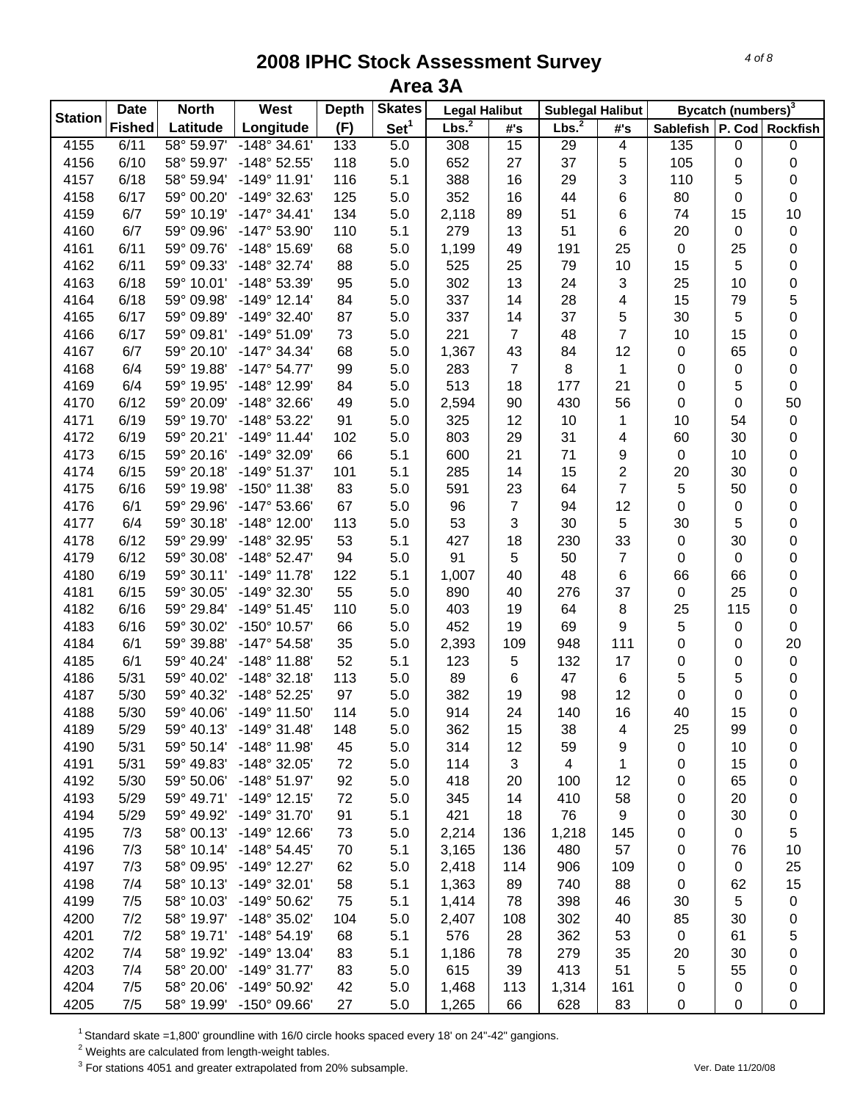|                                                                                                                                             | Bycatch (numbers) <sup>3</sup> |                               |
|---------------------------------------------------------------------------------------------------------------------------------------------|--------------------------------|-------------------------------|
| <b>Station</b><br>Set <sup>1</sup><br>Lbs. <sup>2</sup><br>Lbs. <sup>2</sup><br><b>Fished</b><br>Latitude<br>Longitude<br>(F)<br>#'s<br>#'s |                                | Sablefish   P. Cod   Rockfish |
| 58° 59.97'<br>$-148^\circ 34.61'$<br>4155<br>6/11<br>133<br>5.0<br>308<br>15<br>29<br>$\overline{\mathbf{4}}$<br>135                        | $\pmb{0}$                      | $\pmb{0}$                     |
| 4156<br>6/10<br>58° 59.97'<br>-148° 52.55'<br>118<br>652<br>27<br>37<br>5<br>105<br>5.0                                                     | 0                              | 0                             |
| 388<br>4157<br>6/18<br>58° 59.94'<br>$-149°$ 11.91'<br>116<br>5.1<br>16<br>29<br>3<br>110                                                   | 5                              | 0                             |
| 6/17<br>125<br>352<br>44<br>4158<br>59° 00.20'<br>-149° 32.63'<br>5.0<br>16<br>6<br>80                                                      | 0                              | $\mathbf 0$                   |
| 6/7<br>134<br>51<br>4159<br>59° 10.19'<br>$-147^{\circ}$ 34.41'<br>5.0<br>2,118<br>89<br>6<br>74                                            | 15                             | 10                            |
| 6/7<br>279<br>6<br>4160<br>59° 09.96'<br>$-147^{\circ}$ 53.90<br>110<br>5.1<br>13<br>51<br>20                                               | 0                              | $\pmb{0}$                     |
| 25<br>4161<br>6/11<br>59° 09.76'<br>-148° 15.69'<br>68<br>5.0<br>1,199<br>49<br>191<br>$\mathsf 0$                                          | 25                             | $\pmb{0}$                     |
| 79<br>10<br>4162<br>6/11<br>59° 09.33'<br>$-148°32.74'$<br>88<br>5.0<br>525<br>25<br>15                                                     | 5                              | $\pmb{0}$                     |
| 6/18<br>95<br>302<br>13<br>24<br>3<br>4163<br>59° 10.01'<br>-148° 53.39'<br>5.0<br>25                                                       | 10                             | $\mathbf 0$                   |
| 337<br>28<br>4<br>15<br>4164<br>6/18<br>59° 09.98'<br>$-149°$ 12.14'<br>84<br>5.0<br>14                                                     | 79                             | 5                             |
| 5<br>337<br>14<br>37<br>4165<br>6/17<br>59° 09.89'<br>$-149°32.40'$<br>87<br>5.0<br>30                                                      | 5                              | $\boldsymbol{0}$              |
| $\overline{7}$<br>6/17<br>221<br>48<br>4166<br>59° 09.81'<br>$-149°51.09'$<br>73<br>5.0<br>$\overline{7}$<br>10                             | 15                             | 0                             |
| 68<br>1,367<br>43<br>12<br>4167<br>6/7<br>59° 20.10'<br>-147° 34.34'<br>5.0<br>84<br>$\pmb{0}$                                              | 65                             | 0                             |
| 4168<br>6/4<br>59° 19.88'<br>$-147^{\circ} 54.77'$<br>99<br>5.0<br>283<br>$\overline{7}$<br>8<br>1<br>0                                     | 0                              | $\boldsymbol{0}$              |
| 513<br>0<br>4169<br>6/4<br>59° 19.95'<br>-148° 12.99'<br>84<br>5.0<br>18<br>177<br>21                                                       | 5                              | $\mathbf 0$                   |
| 6/12<br>49<br>430<br>4170<br>59° 20.09'<br>$-148°32.66'$<br>5.0<br>2,594<br>90<br>56<br>0                                                   | 0                              | 50                            |
| 6/19<br>91<br>325<br>4171<br>59° 19.70'<br>-148° 53.22'<br>5.0<br>12<br>10<br>10<br>1                                                       | 54                             | $\pmb{0}$                     |
| 803<br>4172<br>6/19<br>59° 20.21'<br>$-149°$ 11.44'<br>102<br>5.0<br>29<br>31<br>4<br>60                                                    | 30                             | 0                             |
| 66<br>21<br>4173<br>6/15<br>59° 20.16'<br>-149° 32.09'<br>5.1<br>600<br>71<br>9<br>$\pmb{0}$                                                | 10                             | 0                             |
| 6/15<br>15<br>$\overline{\mathbf{c}}$<br>4174<br>59° 20.18'<br>$-149°51.37'$<br>101<br>5.1<br>285<br>14<br>20                               | 30                             | 0                             |
| $\overline{7}$<br>6/16<br>59° 19.98'<br>83<br>591<br>23<br>5<br>4175<br>$-150^{\circ}$ 11.38'<br>5.0<br>64                                  | 50                             | 0                             |
| 6/1<br>59° 29.96'<br>67<br>96<br>$\overline{7}$<br>12<br>$\pmb{0}$<br>4176<br>$-147^{\circ} 53.66'$<br>5.0<br>94                            | 0                              | 0                             |
| 113<br>53<br>3<br>5<br>6/4<br>59° 30.18'<br>$-148^\circ$ 12.00'<br>5.0<br>30<br>30<br>4177                                                  | 5                              | 0                             |
| 33<br>4178<br>6/12<br>59° 29.99'<br>-148° 32.95'<br>53<br>5.1<br>427<br>18<br>230<br>$\mathsf 0$                                            | 30                             | $\pmb{0}$                     |
| 6/12<br>94<br>5.0<br>91<br>5<br>50<br>$\overline{7}$<br>4179<br>59° 30.08'<br>$-148°52.47'$<br>$\mathsf 0$                                  | $\pmb{0}$                      | $\pmb{0}$                     |
| 122<br>40<br>48<br>6<br>4180<br>6/19<br>59° 30.11'<br>$-149°$ 11.78'<br>5.1<br>1,007<br>66                                                  | 66                             | $\pmb{0}$                     |
| 55<br>276<br>37<br>4181<br>6/15<br>59° 30.05'<br>-149° 32.30'<br>5.0<br>890<br>40<br>$\mathsf 0$                                            | 25                             | $\pmb{0}$                     |
| 403<br>8<br>25<br>4182<br>6/16<br>59° 29.84'<br>$-149°51.45'$<br>110<br>5.0<br>19<br>64                                                     | 115                            | 0                             |
| 452<br>69<br>9<br>5<br>4183<br>6/16<br>59° 30.02'<br>-150° 10.57'<br>66<br>5.0<br>19                                                        | 0                              | $\Omega$                      |
| 35<br>948<br>111<br>0<br>4184<br>6/1<br>59° 39.88'<br>$-147°54.58'$<br>5.0<br>2,393<br>109                                                  | 0                              | 20                            |
| 4185<br>6/1<br>59° 40.24'<br>$-148^\circ$ 11.88'<br>52<br>5.1<br>123<br>132<br>17<br>0<br>5                                                 | 0                              | $\pmb{0}$                     |
| 5<br>4186<br>59° 40.02'<br>$-148°32.18'$<br>113<br>5.0<br>89<br>47<br>6<br>5/31<br>6                                                        | 5                              | 0                             |
| 97<br>4187<br>5/30<br>59° 40.32'<br>$-148°52.25'$<br>5.0<br>382<br>98<br>12<br>0<br>19                                                      | 0                              | 0                             |
| 4188<br>5/30<br>59° 40.06'<br>$-149°$ 11.50<br>114<br>5.0<br>914<br>24<br>140<br>16<br>40                                                   | 15                             | 0                             |
| 4189<br>5/29<br>59° 40.13'<br>$-149°31.48'$<br>148<br>5.0<br>362<br>25<br>15<br>38<br>4                                                     | 99                             | 0                             |
| 4190<br>$-148^\circ$ 11.98'<br>45<br>314<br>12<br>59<br>9<br>5/31<br>59° 50.14'<br>5.0<br>0                                                 | 10                             | 0                             |
| 4191<br>5/31<br>3<br>1<br>59° 49.83'<br>$-148^{\circ}$ 32.05'<br>72<br>5.0<br>114<br>$\overline{4}$<br>0                                    | 15                             | 0                             |
| 5/30<br>92<br>418<br>12<br>4192<br>59° 50.06'<br>$-148^{\circ}$ 51.97'<br>5.0<br>20<br>0<br>100                                             | 65                             | 0                             |
| 5/29<br>72<br>345<br>410<br>4193<br>59° 49.71'<br>$-149^{\circ}$ 12.15'<br>5.0<br>14<br>58<br>0                                             | 20                             | 0                             |
| $\boldsymbol{9}$<br>4194<br>$-149°31.70'$<br>91<br>5.1<br>421<br>18<br>76<br>5/29<br>59° 49.92'<br>0                                        | 30                             | 0                             |
| 4195<br>$-149°$ 12.66'<br>5.0<br>2,214<br>136<br>1,218<br>7/3<br>58° 00.13'<br>73<br>145<br>0                                               | $\pmb{0}$                      | 5                             |
| 4196<br>5.1<br>136<br>57<br>7/3<br>58° 10.14'<br>$-148°54.45'$<br>70<br>3,165<br>480<br>0                                                   | 76                             | 10                            |
| 109<br>4197<br>7/3<br>58° 09.95'<br>$-149°$ 12.27'<br>62<br>5.0<br>2,418<br>114<br>906<br>0                                                 | 0                              | 25                            |
| 4198<br>740<br>88<br>7/4<br>58° 10.13'<br>$-149°32.01'$<br>58<br>5.1<br>1,363<br>89<br>0                                                    | 62                             | 15                            |
| 4199<br>58° 10.03'<br>78<br>398<br>7/5<br>-149° 50.62'<br>75<br>5.1<br>1,414<br>46<br>30                                                    | 5                              | 0                             |
| 58° 19.97'<br>4200<br>7/2<br>-148° 35.02'<br>104<br>5.0<br>302<br>40<br>85<br>2,407<br>108                                                  | 30                             | 0                             |
| 4201<br>7/2<br>58° 19.71'<br>$-148°54.19'$<br>68<br>5.1<br>576<br>28<br>362<br>53<br>$\mathbf 0$                                            | 61                             | 5                             |
| 4202<br>7/4<br>58° 19.92'<br>$-149°$ 13.04'<br>5.1<br>1,186<br>78<br>279<br>35<br>20<br>83                                                  | 30                             | 0                             |
| 4203<br>413<br>7/4<br>58° 20.00'<br>$-149°31.77'$<br>83<br>615<br>39<br>51<br>5<br>5.0                                                      | 55                             | 0                             |
| 4204<br>7/5<br>58° 20.06'<br>-149° 50.92'<br>42<br>1,468<br>113<br>1,314<br>5.0<br>161<br>0                                                 | $\mathbf 0$                    | 0                             |
| 4205<br>7/5<br>58° 19.99'<br>628<br>$-150^{\circ}$ 09.66'<br>27<br>5.0<br>1,265<br>66<br>83<br>0                                            | 0                              | $\pmb{0}$                     |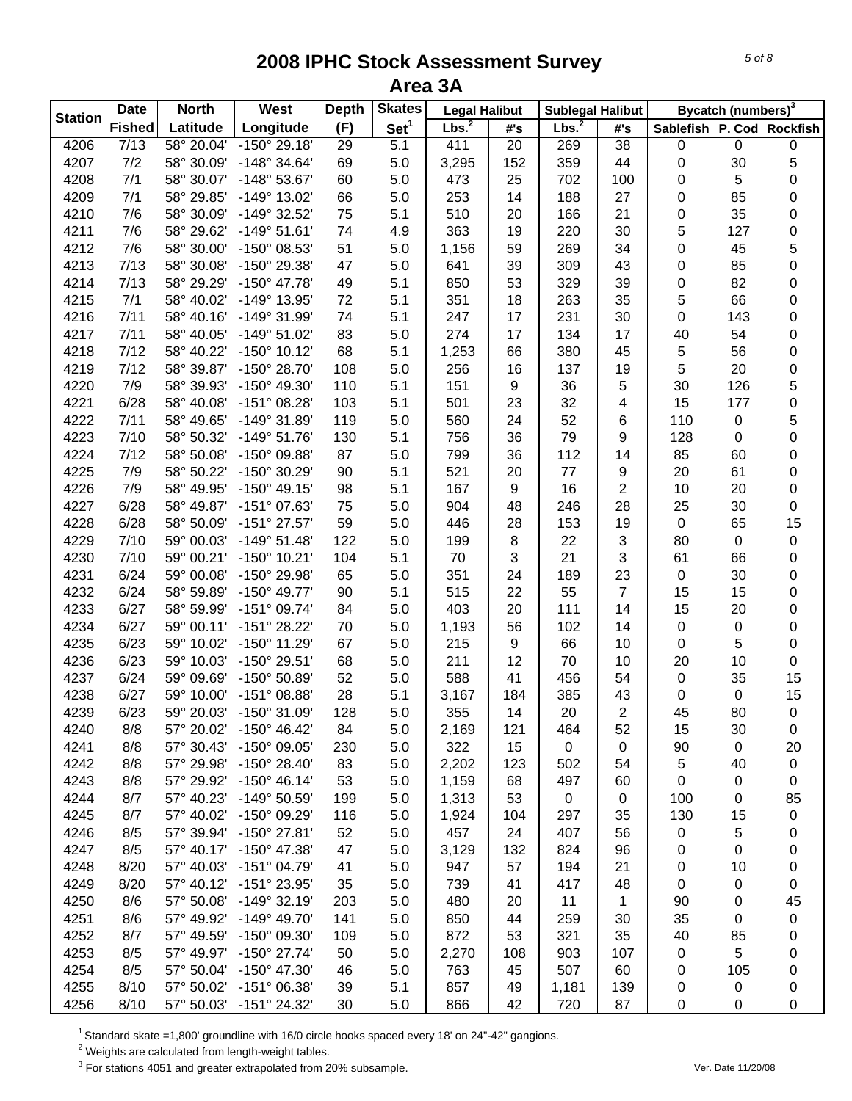| <b>Station</b> | <b>Date</b>   | <b>North</b> | West                    | <b>Depth</b> | <b>Skates</b>    | <b>Legal Halibut</b> |     | <b>Sublegal Halibut</b> |                 |                               | Bycatch (numbers) <sup>3</sup> |           |
|----------------|---------------|--------------|-------------------------|--------------|------------------|----------------------|-----|-------------------------|-----------------|-------------------------------|--------------------------------|-----------|
|                | <b>Fished</b> | Latitude     | Longitude               | (F)          | Set <sup>1</sup> | Lbs. <sup>2</sup>    | #'s | Lbs. <sup>2</sup>       | #'s             | Sablefish   P. Cod   Rockfish |                                |           |
| 4206           | 7/13          | 58° 20.04'   | $-150^{\circ}$ 29.18'   | 29           | $\overline{5.1}$ | 411                  | 20  | 269                     | $\overline{38}$ | $\pmb{0}$                     | $\pmb{0}$                      | 0         |
| 4207           | 7/2           | 58° 30.09'   | $-148°34.64'$           | 69           | 5.0              | 3,295                | 152 | 359                     | 44              | 0                             | 30                             | 5         |
| 4208           | 7/1           | 58° 30.07'   | -148° 53.67'            | 60           | 5.0              | 473                  | 25  | 702                     | 100             | 0                             | 5                              | 0         |
| 4209           | 7/1           | 58° 29.85'   | -149° 13.02'            | 66           | 5.0              | 253                  | 14  | 188                     | 27              | 0                             | 85                             | 0         |
| 4210           | 7/6           | 58° 30.09'   | -149° 32.52'            | 75           | 5.1              | 510                  | 20  | 166                     | 21              | 0                             | 35                             | 0         |
| 4211           | 7/6           | 58° 29.62'   | $-149°51.61'$           | 74           | 4.9              | 363                  | 19  | 220                     | 30              | 5                             | 127                            | 0         |
| 4212           | 7/6           | 58° 30.00'   | -150° 08.53'            | 51           | 5.0              | 1,156                | 59  | 269                     | 34              | 0                             | 45                             | 5         |
| 4213           | 7/13          | 58° 30.08'   | -150° 29.38'            | 47           | 5.0              | 641                  | 39  | 309                     | 43              | $\pmb{0}$                     | 85                             | 0         |
| 4214           | 7/13          | 58° 29.29'   | $-150^{\circ}$ 47.78'   | 49           | 5.1              | 850                  | 53  | 329                     | 39              | $\pmb{0}$                     | 82                             | 0         |
| 4215           | 7/1           | 58° 40.02'   | -149° 13.95'            | 72           | 5.1              | 351                  | 18  | 263                     | 35              | 5                             | 66                             | 0         |
| 4216           | 7/11          | 58° 40.16'   | -149° 31.99'            | 74           | 5.1              | 247                  | 17  | 231                     | 30              | $\pmb{0}$                     | 143                            | 0         |
| 4217           | 7/11          | 58° 40.05'   | -149° 51.02'            | 83           | 5.0              | 274                  | 17  | 134                     | 17              | 40                            | 54                             | 0         |
| 4218           | 7/12          | 58° 40.22'   | $-150^{\circ}$ 10.12'   | 68           | 5.1              | 1,253                | 66  | 380                     | 45              | 5                             | 56                             | 0         |
| 4219           | 7/12          | 58° 39.87'   | -150° 28.70'            | 108          | 5.0              | 256                  | 16  | 137                     | 19              | 5                             | 20                             | 0         |
| 4220           | 7/9           | 58° 39.93'   | -150° 49.30'            | 110          | 5.1              | 151                  | 9   | 36                      | 5               | 30                            | 126                            | 5         |
| 4221           | 6/28          | 58° 40.08'   | $-151^{\circ}$ 08.28'   | 103          | 5.1              | 501                  | 23  | 32                      | 4               | 15                            | 177                            | 0         |
| 4222           | 7/11          | 58° 49.65'   | -149° 31.89'            | 119          | 5.0              | 560                  | 24  | 52                      | 6               | 110                           | $\pmb{0}$                      | 5         |
| 4223           | 7/10          | 58° 50.32'   | $-149°51.76'$           | 130          | 5.1              | 756                  | 36  | 79                      | 9               | 128                           | 0                              | 0         |
| 4224           | 7/12          | 58° 50.08'   | $-150^{\circ}$ 09.88'   | 87           | 5.0              | 799                  | 36  | 112                     | 14              | 85                            | 60                             | 0         |
| 4225           | 7/9           | 58° 50.22'   | -150° 30.29'            | 90           | 5.1              | 521                  | 20  | 77                      | 9               | 20                            | 61                             | 0         |
| 4226           | 7/9           | 58° 49.95'   | $-150^{\circ}$ 49.15'   | 98           | 5.1              | 167                  | 9   | 16                      | $\overline{2}$  | 10                            | 20                             | 0         |
| 4227           | 6/28          | 58° 49.87'   | -151° 07.63'            | 75           | 5.0              | 904                  | 48  | 246                     | 28              | 25                            | 30                             | 0         |
| 4228           | 6/28          | 58° 50.09'   | $-151^{\circ}$ 27.57'   | 59           | 5.0              | 446                  | 28  | 153                     | 19              | $\pmb{0}$                     | 65                             | 15        |
| 4229           | 7/10          | 59° 00.03'   | $-149°51.48'$           | 122          | 5.0              | 199                  | 8   | 22                      | 3               | 80                            | $\pmb{0}$                      | $\pmb{0}$ |
| 4230           | 7/10          | 59° 00.21'   | $-150^{\circ}$ 10.21'   | 104          | 5.1              | 70                   | 3   | 21                      | 3               | 61                            | 66                             | 0         |
| 4231           | 6/24          | 59° 00.08'   | -150° 29.98'            | 65           | 5.0              | 351                  | 24  | 189                     | 23              | $\pmb{0}$                     | 30                             | 0         |
| 4232           | 6/24          | 58° 59.89'   | $-150^{\circ}$ 49.77'   | 90           | 5.1              | 515                  | 22  | 55                      | $\overline{7}$  | 15                            | 15                             | 0         |
| 4233           | 6/27          | 58° 59.99'   | $-151^{\circ}$ 09.74'   | 84           | 5.0              | 403                  | 20  | 111                     | 14              | 15                            | 20                             | 0         |
| 4234           | 6/27          | 59° 00.11'   | -151° 28.22'            | 70           | 5.0              | 1,193                | 56  | 102                     | 14              | $\pmb{0}$                     | $\pmb{0}$                      | 0         |
| 4235           | 6/23          | 59° 10.02'   | -150° 11.29'            | 67           | 5.0              | 215                  | 9   | 66                      | 10              | $\pmb{0}$                     | 5                              | 0         |
| 4236           | 6/23          | 59° 10.03'   | -150° 29.51'            | 68           | 5.0              | 211                  | 12  | 70                      | 10              | 20                            | 10                             | 0         |
| 4237           | 6/24          | 59° 09.69'   | -150° 50.89'            | 52           | 5.0              | 588                  | 41  | 456                     | 54              | 0                             | 35                             | 15        |
| 4238           | 6/27          | 59° 10.00'   | $-151^{\circ}$ 08.88'   | 28           | 5.1              | 3,167                | 184 | 385                     | 43              | 0                             | $\pmb{0}$                      | 15        |
| 4239           | 6/23          | 59° 20.03'   | -150° 31.09'            | 128          | 5.0              | 355                  | 14  | 20                      | $\overline{2}$  | 45                            | 80                             | $\pmb{0}$ |
| 4240           | 8/8           | 57° 20.02'   | $-150^{\circ}$ 46.42    | 84           | 5.0              | 2,169                | 121 | 464                     | 52              | 15                            | 30                             | 0         |
| 4241           | 8/8           | 57° 30.43'   | -150° 09.05'            | 230          | 5.0              | 322                  | 15  | 0                       | 0               | 90                            | 0                              | 20        |
| 4242           | 8/8           | 57° 29.98'   | $-150^{\circ}$ 28.40'   | 83           | 5.0              | 2,202                | 123 | 502                     | 54              | $\,$ 5 $\,$                   | 40                             | 0         |
| 4243           | 8/8           | 57° 29.92'   | $-150^{\circ}$ 46.14'   | 53           | 5.0              | 1,159                | 68  | 497                     | 60              | $\mathbf 0$                   | 0                              | 0         |
| 4244           | 8/7           | 57° 40.23'   | -149° 50.59'            | 199          | 5.0              | 1,313                | 53  | 0                       | 0               | 100                           | 0                              | 85        |
| 4245           | 8/7           | 57° 40.02'   | -150° 09.29'            | 116          | 5.0              | 1,924                | 104 | 297                     | 35              | 130                           | 15                             | 0         |
| 4246           | 8/5           | 57° 39.94'   | $-150^{\circ}$ 27.81'   | 52           | 5.0              | 457                  | 24  | 407                     | 56              | 0                             | 5                              | 0         |
| 4247           | 8/5           | 57° 40.17'   | $-150^{\circ}$ 47.38'   | 47           | 5.0              | 3,129                | 132 | 824                     | 96              | 0                             | 0                              | 0         |
| 4248           | 8/20          | 57° 40.03'   | $-151^{\circ}$ 04.79'   | 41           | 5.0              | 947                  | 57  | 194                     | 21              | 0                             | 10                             | 0         |
| 4249           | 8/20          | 57° 40.12'   | -151° 23.95'            | 35           | 5.0              | 739                  | 41  | 417                     | 48              | 0                             | 0                              | 0         |
| 4250           | 8/6           | 57° 50.08'   | $-149°32.19'$           | 203          | 5.0              | 480                  | 20  | 11                      | 1               | 90                            | 0                              | 45        |
| 4251           | 8/6           | 57° 49.92'   | $-149^{\circ}$ 49.70'   | 141          | 5.0              | 850                  | 44  | 259                     | 30              | 35                            | 0                              | 0         |
| 4252           | 8/7           | 57° 49.59'   | -150° 09.30'            | 109          | 5.0              | 872                  | 53  | 321                     | 35              | 40                            | 85                             | 0         |
| 4253           | 8/5           | 57° 49.97'   | $-150^{\circ}$ 27.74'   | 50           | 5.0              | 2,270                | 108 | 903                     | 107             | 0                             | 5                              | 0         |
| 4254           | 8/5           | 57° 50.04'   | -150° 47.30'            | 46           | 5.0              | 763                  | 45  | 507                     | 60              | 0                             | 105                            | 0         |
| 4255           | 8/10          | 57° 50.02'   | $-151^{\circ}$ 06.38'   | 39           | 5.1              | 857                  | 49  | 1,181                   | 139             | 0                             | 0                              | 0         |
| 4256           | 8/10          |              | 57° 50.03' -151° 24.32' | 30           | 5.0              | 866                  | 42  | 720                     | 87              | $\mathbf 0$                   | 0                              | 0         |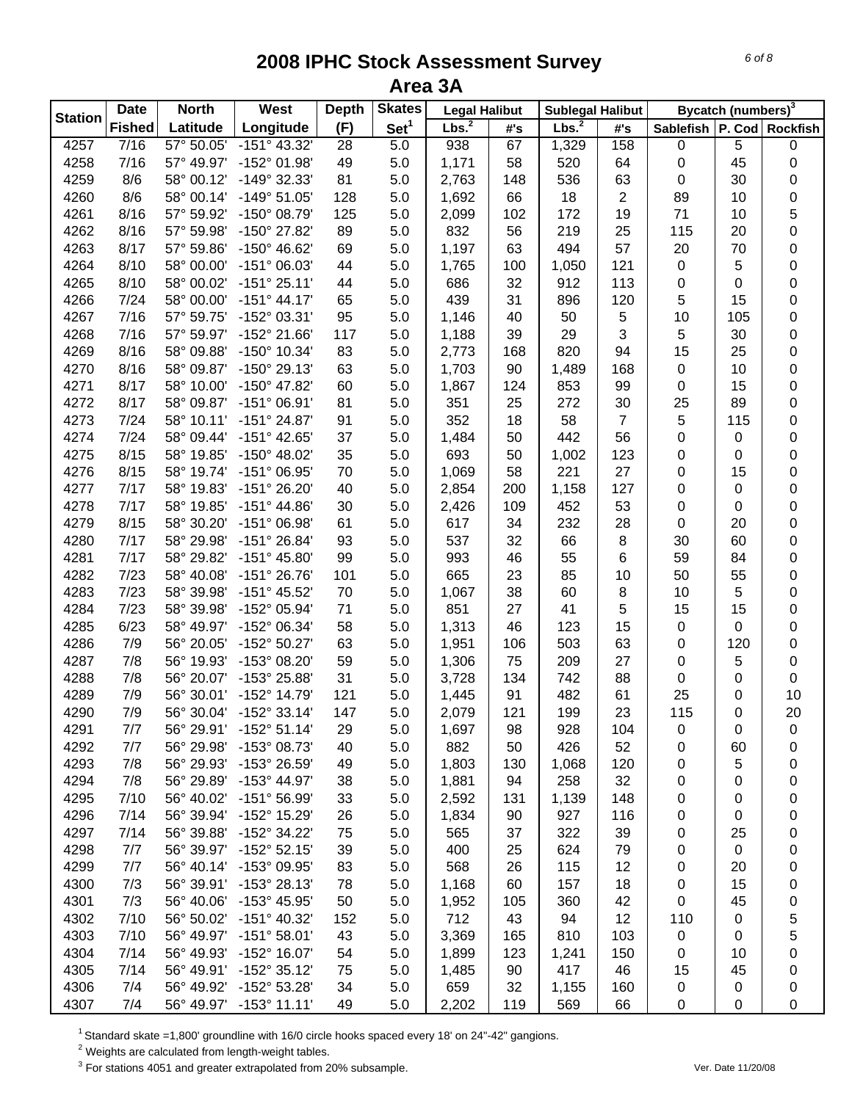| <b>Station</b> | <b>Date</b>   | <b>North</b> | West                  | <b>Depth</b> | <b>Skates</b>    | <b>Legal Halibut</b> |     | <b>Sublegal Halibut</b> |                |                               | Bycatch (numbers) <sup>3</sup> |           |
|----------------|---------------|--------------|-----------------------|--------------|------------------|----------------------|-----|-------------------------|----------------|-------------------------------|--------------------------------|-----------|
|                | <b>Fished</b> | Latitude     | Longitude             | (F)          | Set <sup>1</sup> | Lbs. <sup>2</sup>    | #'s | Lbs. <sup>2</sup>       | #'s            | Sablefish   P. Cod   Rockfish |                                |           |
| 4257           | 7/16          | 57° 50.05'   | $-151^{\circ}$ 43.32' | 28           | 5.0              | 938                  | 67  | 1,329                   | 158            | 0                             | 5                              | $\pmb{0}$ |
| 4258           | 7/16          | 57° 49.97'   | -152° 01.98'          | 49           | 5.0              | 1,171                | 58  | 520                     | 64             | 0                             | 45                             | 0         |
| 4259           | 8/6           | 58° 00.12'   | -149° 32.33'          | 81           | 5.0              | 2,763                | 148 | 536                     | 63             | $\mathbf 0$                   | 30                             | 0         |
| 4260           | 8/6           | 58° 00.14'   | $-149°51.05'$         | 128          | 5.0              | 1,692                | 66  | 18                      | $\overline{2}$ | 89                            | 10                             | 0         |
| 4261           | 8/16          | 57° 59.92'   | $-150^{\circ}$ 08.79  | 125          | 5.0              | 2,099                | 102 | 172                     | 19             | 71                            | 10                             | 5         |
| 4262           | 8/16          | 57° 59.98'   | -150° 27.82'          | 89           | 5.0              | 832                  | 56  | 219                     | 25             | 115                           | 20                             | 0         |
| 4263           | 8/17          | 57° 59.86'   | $-150^{\circ}$ 46.62' | 69           | 5.0              | 1,197                | 63  | 494                     | 57             | 20                            | 70                             | 0         |
| 4264           | 8/10          | 58° 00.00'   | $-151^{\circ}$ 06.03' | 44           | 5.0              | 1,765                | 100 | 1,050                   | 121            | $\pmb{0}$                     | 5                              | $\pmb{0}$ |
| 4265           | 8/10          | 58° 00.02'   | $-151°25.11'$         | 44           | 5.0              | 686                  | 32  | 912                     | 113            | $\pmb{0}$                     | 0                              | $\pmb{0}$ |
| 4266           | 7/24          | 58° 00.00'   | $-151^{\circ}$ 44.17' | 65           | 5.0              | 439                  | 31  | 896                     | 120            | 5                             | 15                             | $\pmb{0}$ |
| 4267           | 7/16          | 57° 59.75'   | -152° 03.31'          | 95           | 5.0              | 1,146                | 40  | 50                      | 5              | 10                            | 105                            | $\pmb{0}$ |
| 4268           | 7/16          | 57° 59.97'   | -152° 21.66'          | 117          | 5.0              | 1,188                | 39  | 29                      | 3              | 5                             | 30                             | 0         |
| 4269           | 8/16          | 58° 09.88'   | -150° 10.34'          | 83           | 5.0              | 2,773                | 168 | 820                     | 94             | 15                            | 25                             | 0         |
| 4270           | 8/16          | 58° 09.87'   | $-150^{\circ}$ 29.13' | 63           | 5.0              | 1,703                | 90  | 1,489                   | 168            | 0                             | 10                             | 0         |
| 4271           | 8/17          | 58° 10.00'   | $-150^{\circ}$ 47.82' | 60           | 5.0              | 1,867                | 124 | 853                     | 99             | 0                             | 15                             | 0         |
| 4272           | 8/17          | 58° 09.87'   | $-151^{\circ}$ 06.91' | 81           | 5.0              | 351                  | 25  | 272                     | 30             | 25                            | 89                             | 0         |
| 4273           | 7/24          | 58° 10.11'   | $-151^{\circ} 24.87'$ | 91           | 5.0              | 352                  | 18  | 58                      | $\overline{7}$ | 5                             | 115                            | 0         |
| 4274           | 7/24          | 58° 09.44'   | $-151^{\circ}$ 42.65' | 37           | 5.0              | 1,484                | 50  | 442                     | 56             | 0                             | 0                              | 0         |
| 4275           | 8/15          | 58° 19.85'   | $-150^{\circ}$ 48.02' | 35           | 5.0              | 693                  | 50  | 1,002                   | 123            | 0                             | 0                              | 0         |
| 4276           | 8/15          | 58° 19.74'   | $-151^{\circ}$ 06.95' | 70           | 5.0              | 1,069                | 58  | 221                     | 27             | 0                             | 15                             | 0         |
| 4277           | 7/17          | 58° 19.83'   | $-151^{\circ} 26.20'$ | 40           | 5.0              | 2,854                | 200 | 1,158                   | 127            | 0                             | 0                              | 0         |
| 4278           | 7/17          | 58° 19.85'   | $-151^{\circ}$ 44.86' | 30           | 5.0              | 2,426                | 109 | 452                     | 53             | 0                             | 0                              | 0         |
| 4279           | 8/15          | 58° 30.20'   | $-151^{\circ}$ 06.98' | 61           | 5.0              | 617                  | 34  | 232                     | 28             | 0                             | 20                             | 0         |
| 4280           | 7/17          | 58° 29.98'   | $-151^{\circ} 26.84'$ | 93           | 5.0              | 537                  | 32  | 66                      | 8              | 30                            | 60                             | 0         |
| 4281           | 7/17          | 58° 29.82'   | $-151^{\circ}$ 45.80' | 99           | 5.0              | 993                  | 46  | 55                      | 6              | 59                            | 84                             | $\pmb{0}$ |
| 4282           | 7/23          | 58° 40.08'   | $-151^{\circ} 26.76'$ | 101          | 5.0              | 665                  | 23  | 85                      | 10             | 50                            | 55                             | $\pmb{0}$ |
| 4283           | 7/23          | 58° 39.98'   | -151° 45.52'          | 70           | 5.0              | 1,067                | 38  | 60                      | 8              | 10                            | 5                              | $\pmb{0}$ |
| 4284           | 7/23          | 58° 39.98'   | -152° 05.94'          | 71           | 5.0              | 851                  | 27  | 41                      | 5              | 15                            | 15                             | $\pmb{0}$ |
| 4285           | 6/23          | 58° 49.97'   | -152° 06.34'          | 58           | 5.0              | 1,313                | 46  | 123                     | 15             | 0                             | 0                              | 0         |
| 4286           | 7/9           | 56° 20.05'   | $-152^{\circ}50.27'$  | 63           | 5.0              | 1,951                | 106 | 503                     | 63             | 0                             | 120                            | $\pmb{0}$ |
| 4287           | 7/8           | 56° 19.93'   | -153° 08.20'          | 59           | 5.0              | 1,306                | 75  | 209                     | 27             | 0                             | 5                              | $\pmb{0}$ |
| 4288           | 7/8           | 56° 20.07'   | -153° 25.88'          | 31           | 5.0              | 3,728                | 134 | 742                     | 88             | 0                             | 0                              | $\pmb{0}$ |
| 4289           | 7/9           | 56° 30.01'   | -152° 14.79'          | 121          | 5.0              |                      | 91  | 482                     | 61             | 25                            |                                | 10        |
| 4290           | 7/9           | 56° 30.04'   | $-152°33.14'$         | 147          | 5.0              | 1,445<br>2,079       | 121 | 199                     | 23             | 115                           | 0<br>0                         | 20        |
| 4291           | 7/7           | 56° 29.91'   | $-152°51.14'$         | 29           | 5.0              | 1,697                | 98  | 928                     | 104            |                               | 0                              |           |
| 4292           | 7/7           | 56° 29.98'   | -153° 08.73'          | 40           | 5.0              | 882                  | 50  | 426                     | 52             | 0                             | 60                             | 0         |
| 4293           | 7/8           | 56° 29.93'   | -153° 26.59'          |              |                  |                      |     |                         |                | 0                             | 5                              | 0         |
|                | 7/8           | 56° 29.89'   | -153° 44.97'          | 49           | 5.0              | 1,803                | 130 | 1,068                   | 120            | 0                             |                                | 0         |
| 4294           |               | 56° 40.02'   |                       | 38           | 5.0              | 1,881                | 94  | 258<br>1,139            | 32             | 0                             | 0                              | 0         |
| 4295           | 7/10          |              | -151° 56.99'          | 33           | 5.0              | 2,592                | 131 |                         | 148            | 0                             | 0                              | 0         |
| 4296           | 7/14          | 56° 39.94'   | -152° 15.29'          | 26           | 5.0              | 1,834                | 90  | 927                     | 116            | 0                             | 0                              | 0         |
| 4297           | 7/14          | 56° 39.88'   | -152° 34.22'          | 75           | 5.0              | 565                  | 37  | 322                     | 39             | 0                             | 25                             | 0         |
| 4298           | 7/7           | 56° 39.97'   | $-152^{\circ}52.15'$  | 39           | 5.0              | 400                  | 25  | 624                     | 79             | 0                             | $\pmb{0}$                      | 0         |
| 4299           | 7/7           | 56° 40.14'   | -153° 09.95'          | 83           | 5.0              | 568                  | 26  | 115                     | 12             | 0                             | 20                             | 0         |
| 4300           | 7/3           | 56° 39.91'   | -153° 28.13'          | 78           | 5.0              | 1,168                | 60  | 157                     | 18             | 0                             | 15                             | 0         |
| 4301           | 7/3           | 56° 40.06'   | -153° 45.95'          | 50           | 5.0              | 1,952                | 105 | 360                     | 42             | 0                             | 45                             | 0         |
| 4302           | 7/10          | 56° 50.02'   | $-151^{\circ}$ 40.32' | 152          | 5.0              | 712                  | 43  | 94                      | 12             | 110                           | 0                              | 5         |
| 4303           | 7/10          | 56° 49.97'   | $-151^{\circ}58.01'$  | 43           | 5.0              | 3,369                | 165 | 810                     | 103            | $\pmb{0}$                     | 0                              | 5         |
| 4304           | 7/14          | 56° 49.93'   | $-152^{\circ}$ 16.07' | 54           | 5.0              | 1,899                | 123 | 1,241                   | 150            | 0                             | 10                             | 0         |
| 4305           | 7/14          | 56° 49.91'   | $-152^{\circ}$ 35.12' | 75           | 5.0              | 1,485                | 90  | 417                     | 46             | 15                            | 45                             | 0         |
| 4306           | 7/4           | 56° 49.92'   | $-152^{\circ} 53.28'$ | 34           | 5.0              | 659                  | 32  | 1,155                   | 160            | 0                             | 0                              | 0         |
| 4307           | 7/4           | 56° 49.97'   | $-153^{\circ}$ 11.11' | 49           | 5.0              | 2,202                | 119 | 569                     | 66             | 0                             | 0                              | 0         |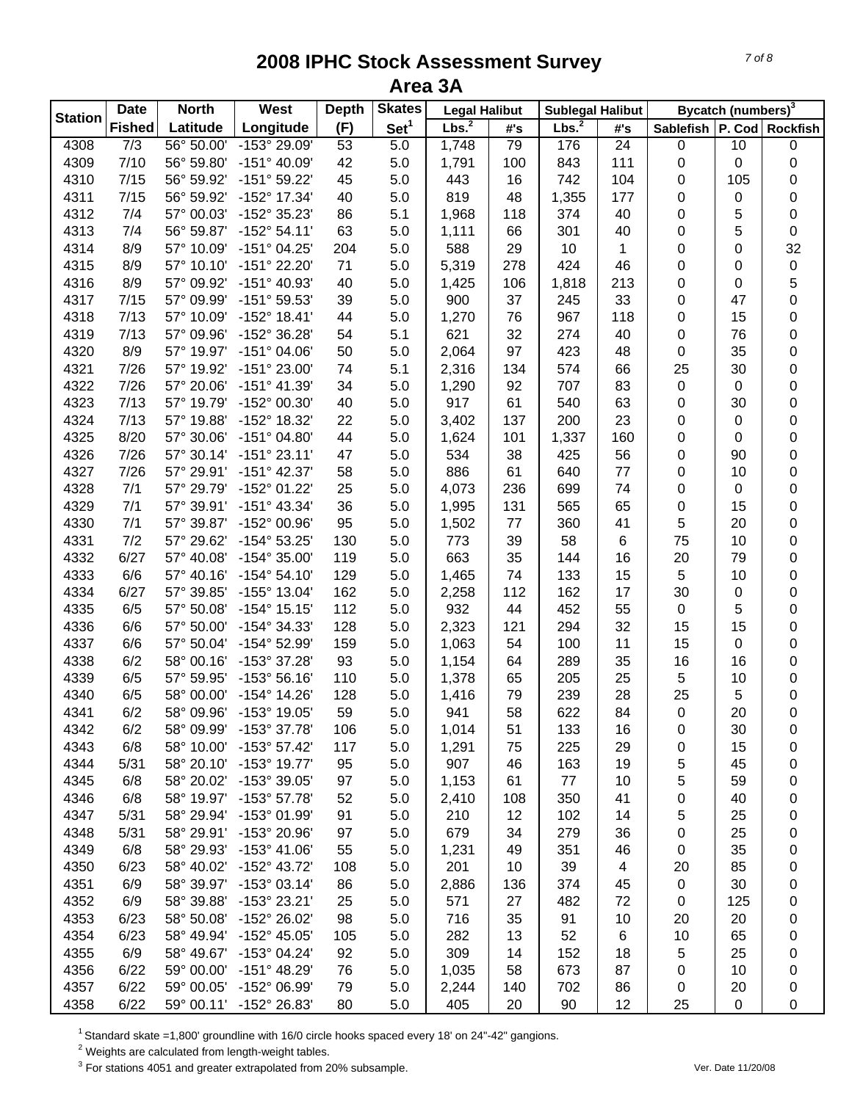| <b>Station</b> | <b>Date</b>      | <b>North</b>             | West                                         | <b>Depth</b> | <b>Skates</b>    | <b>Legal Halibut</b> |          | <b>Sublegal Halibut</b> |                 |             | Bycatch (numbers) <sup>3</sup> |                 |
|----------------|------------------|--------------------------|----------------------------------------------|--------------|------------------|----------------------|----------|-------------------------|-----------------|-------------|--------------------------------|-----------------|
|                | <b>Fished</b>    | Latitude                 | Longitude                                    | (F)          | Set <sup>1</sup> | Lbs. <sup>2</sup>    | #'s      | Lbs. <sup>2</sup>       | #'s             | Sablefish   |                                | P. Cod Rockfish |
| 4308           | $\overline{7/3}$ | 56° 50.00                | $-153^{\circ} 29.09'$                        | 53           | 5.0              | 1,748                | 79       | 176                     | $\overline{24}$ | 0           | 10                             | 0               |
| 4309           | 7/10             | 56° 59.80'               | $-151^{\circ}$ 40.09'                        | 42           | 5.0              | 1,791                | 100      | 843                     | 111             | 0           | 0                              | 0               |
| 4310           | 7/15             | 56° 59.92'               | $-151°59.22'$                                | 45           | 5.0              | 443                  | 16       | 742                     | 104             | 0           | 105                            | 0               |
| 4311           | 7/15             | 56° 59.92'               | -152° 17.34'                                 | 40           | 5.0              | 819                  | 48       | 1,355                   | 177             | 0           | 0                              | 0               |
| 4312           | 7/4              | 57° 00.03'               | -152° 35.23'                                 | 86           | 5.1              | 1,968                | 118      | 374                     | 40              | 0           | 5                              | $\pmb{0}$       |
| 4313           | 7/4              | 56° 59.87'               | $-152^{\circ} 54.11'$                        | 63           | 5.0              | 1,111                | 66       | 301                     | 40              | 0           | 5                              | 0               |
| 4314           | 8/9              | 57° 10.09'               | $-151^{\circ}$ 04.25'                        | 204          | 5.0              | 588                  | 29       | 10                      | 1               | 0           | 0                              | 32              |
| 4315           | 8/9              | 57° 10.10'               | -151° 22.20'                                 | 71           | 5.0              | 5,319                | 278      | 424                     | 46              | 0           | 0                              | $\pmb{0}$       |
| 4316           | 8/9              | 57° 09.92'               | $-151^{\circ}$ 40.93'                        | 40           | 5.0              | 1,425                | 106      | 1,818                   | 213             | 0           | 0                              | 5               |
| 4317           | 7/15             | 57° 09.99'               | -151° 59.53'                                 | 39           | 5.0              | 900                  | 37       | 245                     | 33              | 0           | 47                             | 0               |
| 4318           | 7/13             | 57° 10.09'               | $-152^{\circ}$ 18.41'                        | 44           | 5.0              | 1,270                | 76       | 967                     | 118             | 0           | 15                             | 0               |
| 4319           | 7/13             | 57° 09.96'               | -152° 36.28'                                 | 54           | 5.1              | 621                  | 32       | 274                     | 40              | 0           | 76                             | 0               |
| 4320           | 8/9              | 57° 19.97'               | $-151^{\circ}$ 04.06'                        | 50           | 5.0              | 2,064                | 97       | 423                     | 48              | 0           | 35                             | 0               |
| 4321           | 7/26             | 57° 19.92'               | $-151^{\circ} 23.00'$                        | 74           | 5.1              | 2,316                | 134      | 574                     | 66              | 25          | 30                             | 0               |
| 4322           | 7/26             | 57° 20.06'               | $-151^{\circ}$ 41.39'                        | 34           | 5.0              | 1,290                | 92       | 707                     | 83              | $\pmb{0}$   | 0                              | 0               |
| 4323           | 7/13             | 57° 19.79'               | -152° 00.30'                                 | 40           | 5.0              | 917                  | 61       | 540                     | 63              | 0           | 30                             | 0               |
| 4324           | 7/13             | 57° 19.88'               | -152° 18.32'                                 | 22           | 5.0              | 3,402                | 137      | 200                     | 23              | 0           | 0                              | 0               |
| 4325           | 8/20             | 57° 30.06'               | $-151^{\circ}$ 04.80                         | 44           | 5.0              | 1,624                | 101      | 1,337                   | 160             | 0           | 0                              | 0               |
| 4326           | 7/26             | 57° 30.14'               | $-151°23.11'$                                | 47           | 5.0              | 534                  | 38       | 425                     | 56              | 0           | 90                             | 0               |
| 4327           | 7/26             | 57° 29.91'               | $-151^{\circ}$ 42.37'                        | 58           | 5.0              | 886                  | 61       | 640                     | 77              | 0           | 10                             | 0               |
| 4328           | 7/1              | 57° 29.79'               | -152° 01.22'                                 | 25           | 5.0              | 4,073                | 236      | 699                     | 74              | 0           | 0                              | 0               |
| 4329           | 7/1              | 57° 39.91'               | $-151^{\circ}$ 43.34'                        | 36           | 5.0              | 1,995                | 131      | 565                     | 65              | 0           | 15                             | $\pmb{0}$       |
| 4330           | 7/1              | 57° 39.87'               | -152° 00.96'                                 | 95           | 5.0              | 1,502                | 77       | 360                     | 41              | 5           | 20                             | $\pmb{0}$       |
| 4331           | 7/2              | 57° 29.62'               | $-154^{\circ} 53.25'$                        | 130          | 5.0              | 773                  | 39       | 58                      | 6               | 75          | 10                             | $\pmb{0}$       |
| 4332           | 6/27             | 57° 40.08'               | $-154^{\circ}$ 35.00                         | 119          | 5.0              | 663                  | 35       | 144                     | 16              | 20          | 79                             | $\pmb{0}$       |
| 4333           | 6/6              | 57° 40.16'               | $-154^{\circ} 54.10'$                        | 129          | 5.0              | 1,465                | 74       | 133                     | 15              | 5           | 10                             | 0               |
| 4334           | 6/27             | 57° 39.85'               | -155° 13.04'                                 | 162          | 5.0              | 2,258                | 112      | 162                     | 17              | 30          | 0                              | 0               |
| 4335           | 6/5              | 57° 50.08'               | $-154^{\circ}$ 15.15'                        | 112          | 5.0              | 932                  | 44       | 452                     | 55              | $\pmb{0}$   | 5                              | 0               |
| 4336           | 6/6              | 57° 50.00'               | -154° 34.33'                                 | 128          | 5.0              | 2,323                | 121      | 294                     | 32              | 15          | 15                             | 0               |
| 4337           | 6/6              | 57° 50.04'               | -154° 52.99'                                 | 159          | 5.0              | 1,063                | 54       | 100                     | 11              | 15          | 0                              | 0               |
| 4338           | 6/2              | 58° 00.16'               | -153° 37.28'                                 | 93           | 5.0              | 1,154                | 64       | 289                     | 35              | 16          | 16                             | 0               |
| 4339           | 6/5              | 57° 59.95'               | $-153°56.16'$                                | 110          | 5.0              | 1,378                | 65       | 205                     | 25              | 5           | 10                             | 0               |
| 4340           | 6/5              | 58° 00.00'               | -154° 14.26'                                 | 128          | 5.0              |                      | 79       | 239                     | 28              | 25          | 5                              |                 |
| 4341           | 6/2              | 58° 09.96'               | $-153^{\circ}$ 19.05'                        | 59           | 5.0              | 1,416<br>941         | 58       | 622                     | 84              | $\mathbf 0$ | 20                             | 0<br>0          |
|                | 6/2              |                          |                                              |              |                  |                      |          |                         |                 |             |                                |                 |
| 4342           | 6/8              | 58° 09.99'<br>58° 10.00' | $-153^{\circ}$ 37.78<br>$-153^{\circ}57.42'$ | 106<br>117   | 5.0              | 1,014                | 51<br>75 | 133                     | 16              | 0           | 30                             | 0               |
| 4343           |                  | 58° 20.10'               | $-153^{\circ}$ 19.77                         |              | 5.0              | 1,291                |          | 225                     | 29              | 0           | 15                             | 0               |
| 4344           | 5/31             |                          |                                              | 95           | 5.0              | 907                  | 46       | 163                     | 19              | 5           | 45                             | 0               |
| 4345           | 6/8              | 58° 20.02'<br>58° 19.97' | -153° 39.05'                                 | 97           | 5.0              | 1,153                | 61       | 77                      | 10              | 5           | 59                             | 0               |
| 4346           | 6/8              |                          | $-153^{\circ}57.78'$                         | 52           | 5.0              | 2,410                | 108      | 350                     | 41              | 0           | 40                             | 0               |
| 4347           | 5/31             | 58° 29.94'               | -153° 01.99'                                 | 91           | 5.0              | 210                  | 12       | 102                     | 14              | 5           | 25                             | 0               |
| 4348           | 5/31             | 58° 29.91'               | -153° 20.96'                                 | 97           | 5.0              | 679                  | 34       | 279                     | 36              | 0           | 25                             | 0               |
| 4349           | 6/8              | 58° 29.93'               | $-153^{\circ}$ 41.06'                        | 55           | 5.0              | 1,231                | 49       | 351                     | 46              | 0           | 35                             | 0               |
| 4350           | 6/23             | 58° 40.02'               | -152° 43.72'                                 | 108          | 5.0              | 201                  | 10       | 39                      | 4               | 20          | 85                             | 0               |
| 4351           | 6/9              | 58° 39.97'               | $-153^{\circ}$ 03.14'                        | 86           | 5.0              | 2,886                | 136      | 374                     | 45              | $\mathbf 0$ | 30                             | 0               |
| 4352           | 6/9              | 58° 39.88'               | $-153^{\circ}$ 23.21'                        | 25           | 5.0              | 571                  | 27       | 482                     | 72              | 0           | 125                            | 0               |
| 4353           | 6/23             | 58° 50.08'               | -152° 26.02'                                 | 98           | 5.0              | 716                  | 35       | 91                      | 10              | 20          | 20                             | 0               |
| 4354           | 6/23             | 58° 49.94'               | $-152^{\circ}$ 45.05'                        | 105          | 5.0              | 282                  | 13       | 52                      | 6               | 10          | 65                             | 0               |
| 4355           | 6/9              | 58° 49.67'               | $-153^{\circ}$ 04.24'                        | 92           | 5.0              | 309                  | 14       | 152                     | 18              | 5           | 25                             | 0               |
| 4356           | 6/22             | 59° 00.00'               | -151° 48.29'                                 | 76           | 5.0              | 1,035                | 58       | 673                     | 87              | 0           | 10                             | 0               |
| 4357           | 6/22             | 59° 00.05'               | -152° 06.99'                                 | 79           | 5.0              | 2,244                | 140      | 702                     | 86              | 0           | 20                             | 0               |
| 4358           | 6/22             |                          | 59° 00.11' -152° 26.83'                      | 80           | 5.0              | 405                  | 20       | 90                      | 12              | 25          | 0                              | $\mathbf 0$     |